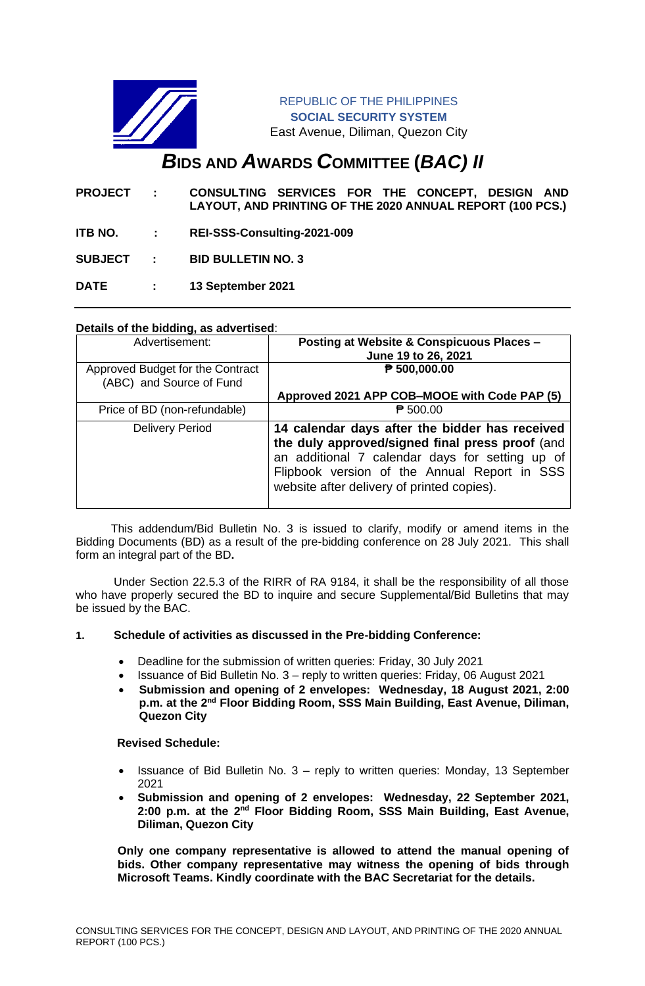

REPUBLIC OF THE PHILIPPINES **SOCIAL SECURITY SYSTEM** East Avenue, Diliman, Quezon City

# *B***IDS AND** *A***WARDS** *C***OMMITTEE (***BAC) II*

- **PROJECT : CONSULTING SERVICES FOR THE CONCEPT, DESIGN AND LAYOUT, AND PRINTING OF THE 2020 ANNUAL REPORT (100 PCS.)**
- **ITB NO. : REI-SSS-Consulting-2021-009**

**SUBJECT : BID BULLETIN NO. 3**

**DATE : 13 September 2021**

# **Details of the bidding, as advertised**:

| Advertisement:                                               | Posting at Website & Conspicuous Places -<br>June 19 to 26, 2021                                                                                                                                                                                   |
|--------------------------------------------------------------|----------------------------------------------------------------------------------------------------------------------------------------------------------------------------------------------------------------------------------------------------|
| Approved Budget for the Contract<br>(ABC) and Source of Fund | ₱ 500,000.00                                                                                                                                                                                                                                       |
|                                                              | Approved 2021 APP COB–MOOE with Code PAP (5)                                                                                                                                                                                                       |
| Price of BD (non-refundable)                                 | $\overline{P}$ 500.00                                                                                                                                                                                                                              |
| <b>Delivery Period</b>                                       | 14 calendar days after the bidder has received<br>the duly approved/signed final press proof (and<br>an additional 7 calendar days for setting up of<br>Flipbook version of the Annual Report in SSS<br>website after delivery of printed copies). |

 This addendum/Bid Bulletin No. 3 is issued to clarify, modify or amend items in the Bidding Documents (BD) as a result of the pre-bidding conference on 28 July 2021. This shall form an integral part of the BD**.**

Under Section 22.5.3 of the RIRR of RA 9184, it shall be the responsibility of all those who have properly secured the BD to inquire and secure Supplemental/Bid Bulletins that may be issued by the BAC.

# **1. Schedule of activities as discussed in the Pre-bidding Conference:**

- Deadline for the submission of written queries: Friday, 30 July 2021
- Issuance of Bid Bulletin No. 3 reply to written queries: Friday, 06 August 2021
- **Submission and opening of 2 envelopes: Wednesday, 18 August 2021, 2:00**  p.m. at the 2<sup>nd</sup> Floor Bidding Room, SSS Main Building, East Avenue, Diliman, **Quezon City**

#### **Revised Schedule:**

- Issuance of Bid Bulletin No. 3 reply to written queries: Monday, 13 September 2021
- **Submission and opening of 2 envelopes: Wednesday, 22 September 2021,**  2:00 p.m. at the 2<sup>nd</sup> Floor Bidding Room, SSS Main Building, East Avenue, **Diliman, Quezon City**

**Only one company representative is allowed to attend the manual opening of bids. Other company representative may witness the opening of bids through Microsoft Teams. Kindly coordinate with the BAC Secretariat for the details.**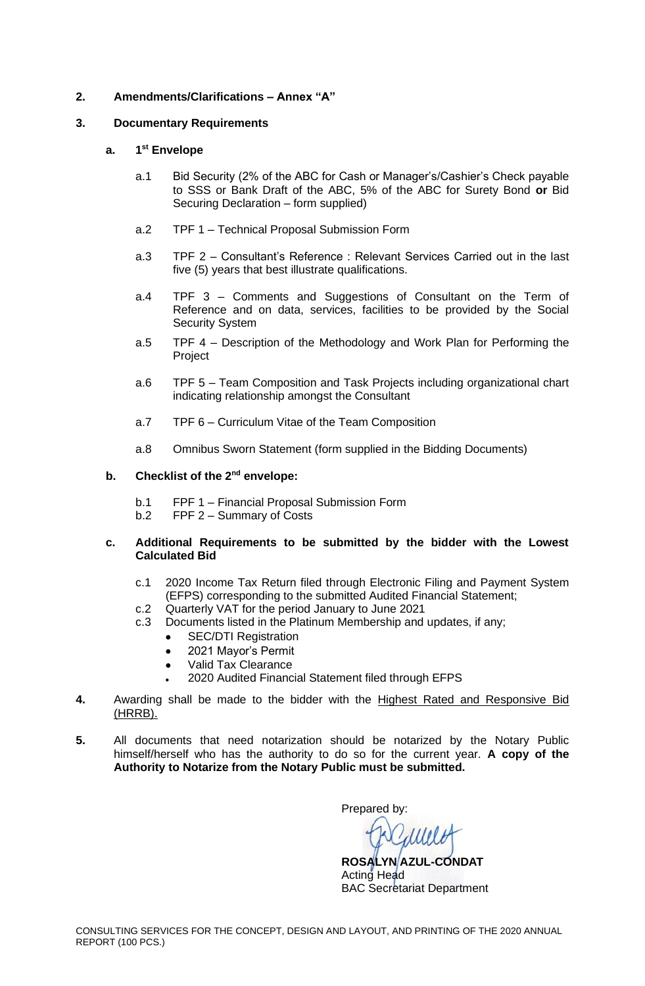## **2. Amendments/Clarifications – Annex "A"**

## **3. Documentary Requirements**

#### **a. 1 st Envelope**

- a.1 Bid Security (2% of the ABC for Cash or Manager's/Cashier's Check payable to SSS or Bank Draft of the ABC, 5% of the ABC for Surety Bond **or** Bid Securing Declaration – form supplied)
- a.2 TPF 1 Technical Proposal Submission Form
- a.3 TPF 2 Consultant's Reference : Relevant Services Carried out in the last five (5) years that best illustrate qualifications.
- a.4 TPF 3 Comments and Suggestions of Consultant on the Term of Reference and on data, services, facilities to be provided by the Social Security System
- a.5 TPF 4 Description of the Methodology and Work Plan for Performing the Project
- a.6 TPF 5 Team Composition and Task Projects including organizational chart indicating relationship amongst the Consultant
- a.7 TPF 6 Curriculum Vitae of the Team Composition
- a.8 Omnibus Sworn Statement (form supplied in the Bidding Documents)

#### **b. Checklist of the 2nd envelope:**

- b.1 FPF 1 Financial Proposal Submission Form
- b.2 FPF 2 Summary of Costs

#### **c. Additional Requirements to be submitted by the bidder with the Lowest Calculated Bid**

- c.1 2020 Income Tax Return filed through Electronic Filing and Payment System (EFPS) corresponding to the submitted Audited Financial Statement;
- c.2 Quarterly VAT for the period January to June 2021
- c.3 Documents listed in the Platinum Membership and updates, if any;
	- SEC/DTI Registration
	- 2021 Mayor's Permit
	- Valid Tax Clearance
	- 2020 Audited Financial Statement filed through EFPS
- **4.** Awarding shall be made to the bidder with the Highest Rated and Responsive Bid (HRRB).
- **5.** All documents that need notarization should be notarized by the Notary Public himself/herself who has the authority to do so for the current year. **A copy of the Authority to Notarize from the Notary Public must be submitted.**

Prepared by:

**ROSALYN AZUL-CONDAT** Acting Head BAC Secretariat Department